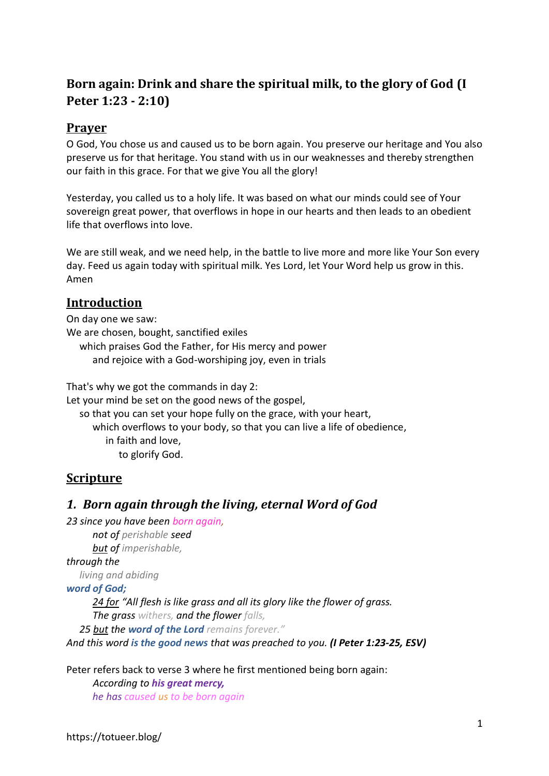# **Born again: Drink and share the spiritual milk, to the glory of God (I Peter 1:23 - 2:10)**

### **Prayer**

O God, You chose us and caused us to be born again. You preserve our heritage and You also preserve us for that heritage. You stand with us in our weaknesses and thereby strengthen our faith in this grace. For that we give You all the glory!

Yesterday, you called us to a holy life. It was based on what our minds could see of Your sovereign great power, that overflows in hope in our hearts and then leads to an obedient life that overflows into love.

We are still weak, and we need help, in the battle to live more and more like Your Son every day. Feed us again today with spiritual milk. Yes Lord, let Your Word help us grow in this. Amen

### **Introduction**

On day one we saw: We are chosen, bought, sanctified exiles which praises God the Father, for His mercy and power and rejoice with a God-worshiping joy, even in trials

That's why we got the commands in day 2:

Let your mind be set on the good news of the gospel,

so that you can set your hope fully on the grace, with your heart, which overflows to your body, so that you can live a life of obedience, in faith and love, to glorify God.

### **Scripture**

### *1. Born again through the living, eternal Word of God*

*23 since you have been born again,*

*not of perishable seed but of imperishable,* 

*through the* 

*living and abiding* 

#### *word of God;*

*24 for "All flesh is like grass and all its glory like the flower of grass.*

*The grass withers, and the flower falls,*

*25 but the word of the Lord remains forever."*

*And this word is the good news that was preached to you. (I Peter 1:23-25, ESV)*

Peter refers back to verse 3 where he first mentioned being born again:

*According to his great mercy, he has caused us to be born again*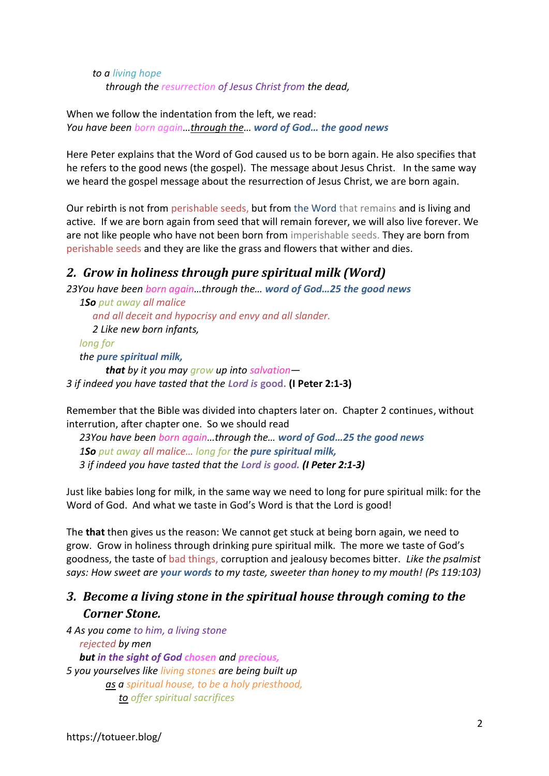*to a living hope through the resurrection of Jesus Christ from the dead,*

When we follow the indentation from the left, we read: *You have been born again…through the… word of God… the good news*

Here Peter explains that the Word of God caused us to be born again. He also specifies that he refers to the good news (the gospel). The message about Jesus Christ. In the same way we heard the gospel message about the resurrection of Jesus Christ, we are born again.

Our rebirth is not from perishable seeds, but from the Word that remains and is living and active. If we are born again from seed that will remain forever, we will also live forever. We are not like people who have not been born from imperishable seeds. They are born from perishable seeds and they are like the grass and flowers that wither and dies.

### *2. Grow in holiness through pure spiritual milk (Word)*

*23You have been born again…through the… word of God…25 the good news 1So put away all malice* 

*and all deceit and hypocrisy and envy and all slander. 2 Like new born infants, long for the pure spiritual milk, that by it you may grow up into salvation— 3 if indeed you have tasted that the Lord is* **good. (I Peter 2:1-3)**

Remember that the Bible was divided into chapters later on. Chapter 2 continues, without interrution, after chapter one. So we should read

*23You have been born again…through the… word of God…25 the good news 1So put away all malice… long for the pure spiritual milk, 3 if indeed you have tasted that the Lord is good. (I Peter 2:1-3)*

Just like babies long for milk, in the same way we need to long for pure spiritual milk: for the Word of God. And what we taste in God's Word is that the Lord is good!

The **that** then gives us the reason: We cannot get stuck at being born again, we need to grow. Grow in holiness through drinking pure spiritual milk. The more we taste of God's goodness, the taste of bad things, corruption and jealousy becomes bitter. *Like the psalmist says: How sweet are your words to my taste, sweeter than honey to my mouth! (Ps 119:103)*

## *3. Become a living stone in the spiritual house through coming to the Corner Stone.*

*4 As you come to him, a living stone rejected by men but in the sight of God chosen and precious, 5 you yourselves like living stones are being built up as a spiritual house, to be a holy priesthood, to offer spiritual sacrifices*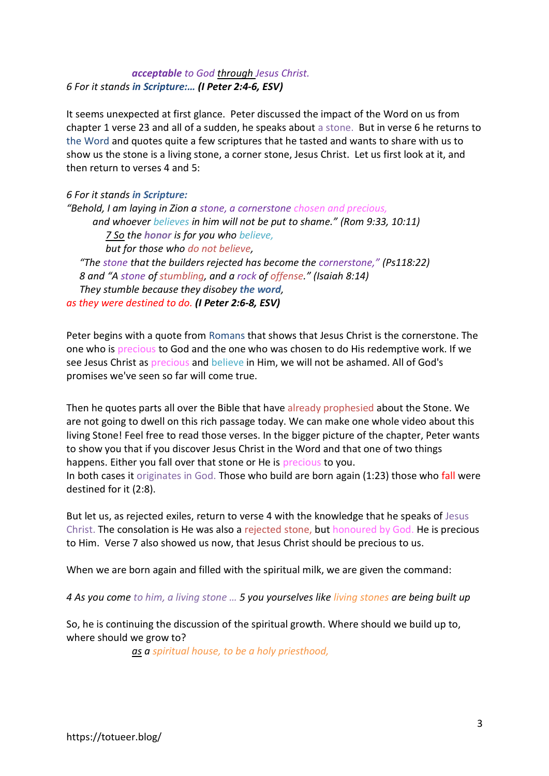#### *acceptable to God through Jesus Christ. 6 For it stands in Scripture:… (I Peter 2:4-6, ESV)*

It seems unexpected at first glance. Peter discussed the impact of the Word on us from chapter 1 verse 23 and all of a sudden, he speaks about a stone. But in verse 6 he returns to the Word and quotes quite a few scriptures that he tasted and wants to share with us to show us the stone is a living stone, a corner stone, Jesus Christ. Let us first look at it, and then return to verses 4 and 5:

#### *6 For it stands in Scripture:*

*"Behold, I am laying in Zion a stone, a cornerstone chosen and precious, and whoever believes in him will not be put to shame." (Rom 9:33, 10:11) 7 So the honor is for you who believe, but for those who do not believe, "The stone that the builders rejected has become the cornerstone," (Ps118:22) 8 and "A stone of stumbling, and a rock of offense." (Isaiah 8:14) They stumble because they disobey the word, as they were destined to do. (I Peter 2:6-8, ESV)*

Peter begins with a quote from Romans that shows that Jesus Christ is the cornerstone. The one who is precious to God and the one who was chosen to do His redemptive work. If we see Jesus Christ as precious and believe in Him, we will not be ashamed. All of God's promises we've seen so far will come true.

Then he quotes parts all over the Bible that have already prophesied about the Stone. We are not going to dwell on this rich passage today. We can make one whole video about this living Stone! Feel free to read those verses. In the bigger picture of the chapter, Peter wants to show you that if you discover Jesus Christ in the Word and that one of two things happens. Either you fall over that stone or He is precious to you.

In both cases it originates in God. Those who build are born again (1:23) those who fall were destined for it (2:8).

But let us, as rejected exiles, return to verse 4 with the knowledge that he speaks of Jesus Christ. The consolation is He was also a rejected stone, but honoured by God. He is precious to Him. Verse 7 also showed us now, that Jesus Christ should be precious to us.

When we are born again and filled with the spiritual milk, we are given the command:

*4 As you come to him, a living stone … 5 you yourselves like living stones are being built up*

So, he is continuing the discussion of the spiritual growth. Where should we build up to, where should we grow to?

*as a spiritual house, to be a holy priesthood,*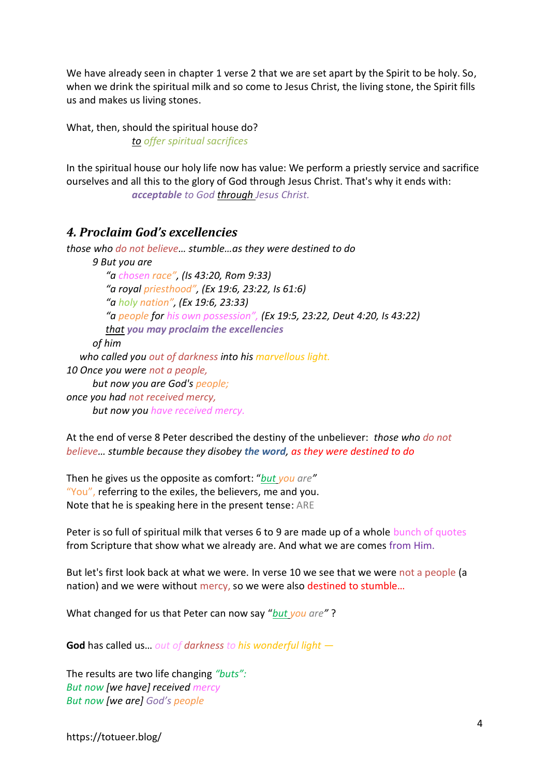We have already seen in chapter 1 verse 2 that we are set apart by the Spirit to be holy. So, when we drink the spiritual milk and so come to Jesus Christ, the living stone, the Spirit fills us and makes us living stones.

What, then, should the spiritual house do? *to offer spiritual sacrifices* 

In the spiritual house our holy life now has value: We perform a priestly service and sacrifice ourselves and all this to the glory of God through Jesus Christ. That's why it ends with: *acceptable to God through Jesus Christ.* 

### *4. Proclaim God's excellencies*

*those who do not believe… stumble…as they were destined to do 9 But you are "a chosen race", (Is 43:20, Rom 9:33) "a royal priesthood", (Ex 19:6, 23:22, Is 61:6) "a holy nation", (Ex 19:6, 23:33) "a people for his own possession", (Ex 19:5, 23:22, Deut 4:20, Is 43:22) that you may proclaim the excellencies of him who called you out of darkness into his marvellous light. 10 Once you were not a people, but now you are God's people; once you had not received mercy, but now you have received mercy.*

At the end of verse 8 Peter described the destiny of the unbeliever: *those who do not believe… stumble because they disobey the word, as they were destined to do*

Then he gives us the opposite as comfort: "*but you are"*  "You", referring to the exiles, the believers, me and you. Note that he is speaking here in the present tense: ARE

Peter is so full of spiritual milk that verses 6 to 9 are made up of a whole bunch of quotes from Scripture that show what we already are. And what we are comes from Him.

But let's first look back at what we were. In verse 10 we see that we were not a people (a nation) and we were without mercy, so we were also destined to stumble...

What changed for us that Peter can now say "*but you are"* ?

**God** has called us… *out of darkness to his wonderful light —*

The results are two life changing *"buts": But now [we have] received mercy But now [we are] God's people*

https://totueer.blog/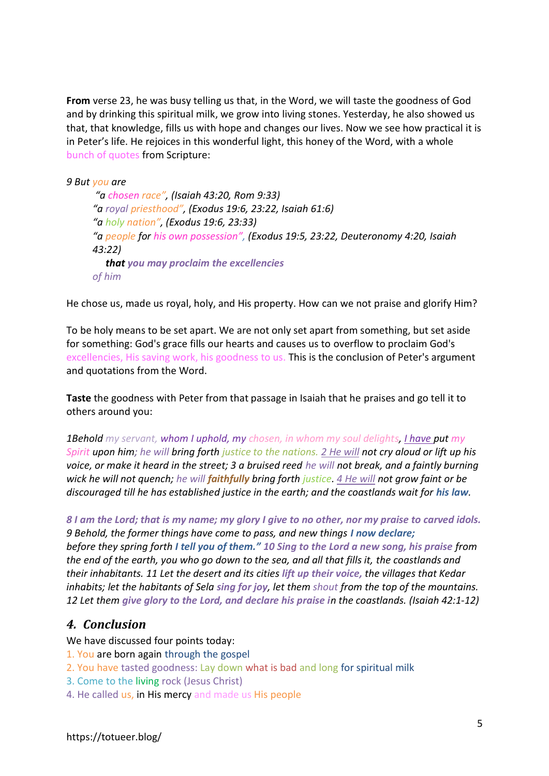**From** verse 23, he was busy telling us that, in the Word, we will taste the goodness of God and by drinking this spiritual milk, we grow into living stones. Yesterday, he also showed us that, that knowledge, fills us with hope and changes our lives. Now we see how practical it is in Peter's life. He rejoices in this wonderful light, this honey of the Word, with a whole bunch of quotes from Scripture:

*9 But you are*

*"a chosen race", (Isaiah 43:20, Rom 9:33) "a royal priesthood", (Exodus 19:6, 23:22, Isaiah 61:6) "a holy nation", (Exodus 19:6, 23:33) "a people for his own possession", (Exodus 19:5, 23:22, Deuteronomy 4:20, Isaiah 43:22) that you may proclaim the excellencies of him*

He chose us, made us royal, holy, and His property. How can we not praise and glorify Him?

To be holy means to be set apart. We are not only set apart from something, but set aside for something: God's grace fills our hearts and causes us to overflow to proclaim God's excellencies, His saving work, his goodness to us. This is the conclusion of Peter's argument and quotations from the Word.

**Taste** the goodness with Peter from that passage in Isaiah that he praises and go tell it to others around you:

*1Behold my servant, whom I uphold, my chosen, in whom my soul delights, I have put my Spirit upon him; he will bring forth justice to the nations. 2 He will not cry aloud or lift up his voice, or make it heard in the street; 3 a bruised reed he will not break, and a faintly burning wick he will not quench; he will faithfully bring forth justice. 4 He will not grow faint or be discouraged till he has established justice in the earth; and the coastlands wait for his law.* 

*8 I am the Lord; that is my name; my glory I give to no other, nor my praise to carved idols. 9 Behold, the former things have come to pass, and new things I now declare; before they spring forth I tell you of them." 10 Sing to the Lord a new song, his praise from the end of the earth, you who go down to the sea, and all that fills it, the coastlands and their inhabitants. 11 Let the desert and its cities lift up their voice, the villages that Kedar inhabits; let the habitants of Sela sing for joy, let them shout from the top of the mountains. 12 Let them give glory to the Lord, and declare his praise in the coastlands. (Isaiah 42:1-12)*

### *4. Conclusion*

We have discussed four points today:

- 1. You are born again through the gospel
- 2. You have tasted goodness: Lay down what is bad and long for spiritual milk
- 3. Come to the living rock (Jesus Christ)
- 4. He called us, in His mercy and made us His people